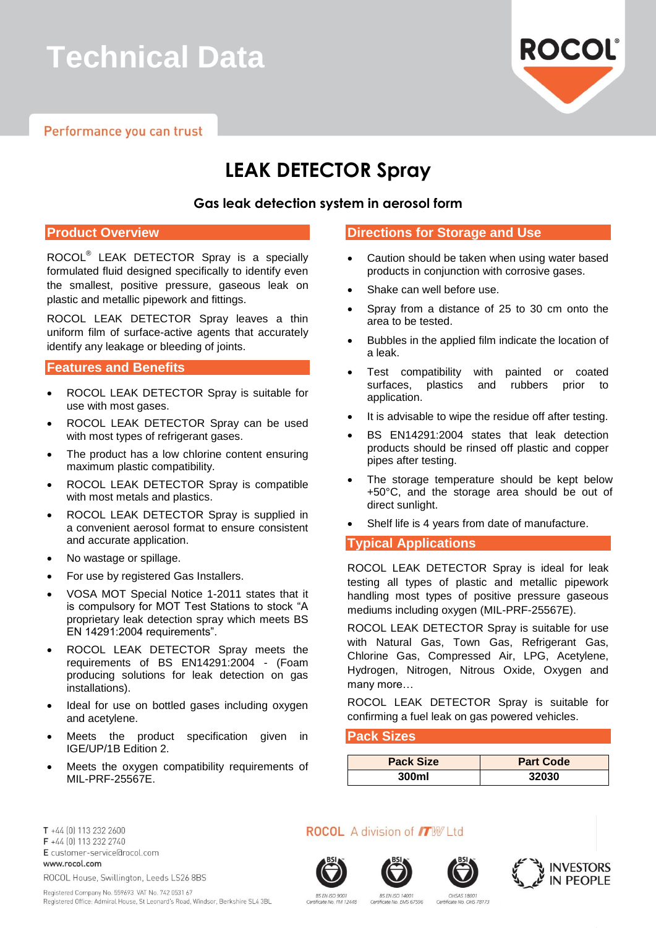# **Technical Data**

Performance you can trust



# **LEAK DETECTOR Spray**

### **Gas leak detection system in aerosol form**

#### **Product Overview**

ROCOL® LEAK DETECTOR Spray is a specially formulated fluid designed specifically to identify even the smallest, positive pressure, gaseous leak on plastic and metallic pipework and fittings.

ROCOL LEAK DETECTOR Spray leaves a thin uniform film of surface-active agents that accurately identify any leakage or bleeding of joints.

#### **Features and Benefits**

- ROCOL LEAK DETECTOR Spray is suitable for use with most gases.
- ROCOL LEAK DETECTOR Spray can be used with most types of refrigerant gases.
- The product has a low chlorine content ensuring maximum plastic compatibility.
- ROCOL LEAK DETECTOR Spray is compatible with most metals and plastics.
- ROCOL LEAK DETECTOR Spray is supplied in a convenient aerosol format to ensure consistent and accurate application.
- No wastage or spillage.
- For use by registered Gas Installers.
- VOSA MOT Special Notice 1-2011 states that it is compulsory for MOT Test Stations to stock "A proprietary leak detection spray which meets BS EN 14291:2004 requirements".
- ROCOL LEAK DETECTOR Spray meets the requirements of BS EN14291:2004 - (Foam producing solutions for leak detection on gas installations).
- Ideal for use on bottled gases including oxygen and acetylene.
- Meets the product specification given in IGE/UP/1B Edition 2.
- Meets the oxygen compatibility requirements of MIL-PRF-25567E.

#### **Directions for Storage and Use**

- Caution should be taken when using water based products in conjunction with corrosive gases.
- Shake can well before use.
- Spray from a distance of 25 to 30 cm onto the area to be tested.
- Bubbles in the applied film indicate the location of a leak.
- Test compatibility with painted or coated surfaces, plastics and rubbers prior to application.
- It is advisable to wipe the residue off after testing.
- BS EN14291:2004 states that leak detection products should be rinsed off plastic and copper pipes after testing.
- The storage temperature should be kept below +50°C, and the storage area should be out of direct sunlight.
- Shelf life is 4 years from date of manufacture.

#### **Typical Applications**

ROCOL LEAK DETECTOR Spray is ideal for leak testing all types of plastic and metallic pipework handling most types of positive pressure gaseous mediums including oxygen (MIL-PRF-25567E).

ROCOL LEAK DETECTOR Spray is suitable for use with Natural Gas, Town Gas, Refrigerant Gas, Chlorine Gas, Compressed Air, LPG, Acetylene, Hydrogen, Nitrogen, Nitrous Oxide, Oxygen and many more…

ROCOL LEAK DETECTOR Spray is suitable for confirming a fuel leak on gas powered vehicles.

#### **Pack Sizes**

| <b>Pack Size</b> | <b>Part Code</b> |
|------------------|------------------|
| 300ml            | 32030            |

T +44 [0] 113 232 2600 F +44 (0) 113 232 2740 E customer-service@rocol.com www.rocol.com ROCOL House, Swillington, Leeds LS26 8BS

Registered Company No. 559693 VAT No. 742 0531 67

**ROCOL** A division of **ITW** Ltd









BS EN ISO 900 cate No. FM 12448

**BS EN ISO 14001** OHSAS 1800 Certificate No. EMS 67596 Certificate No. OHS 78173